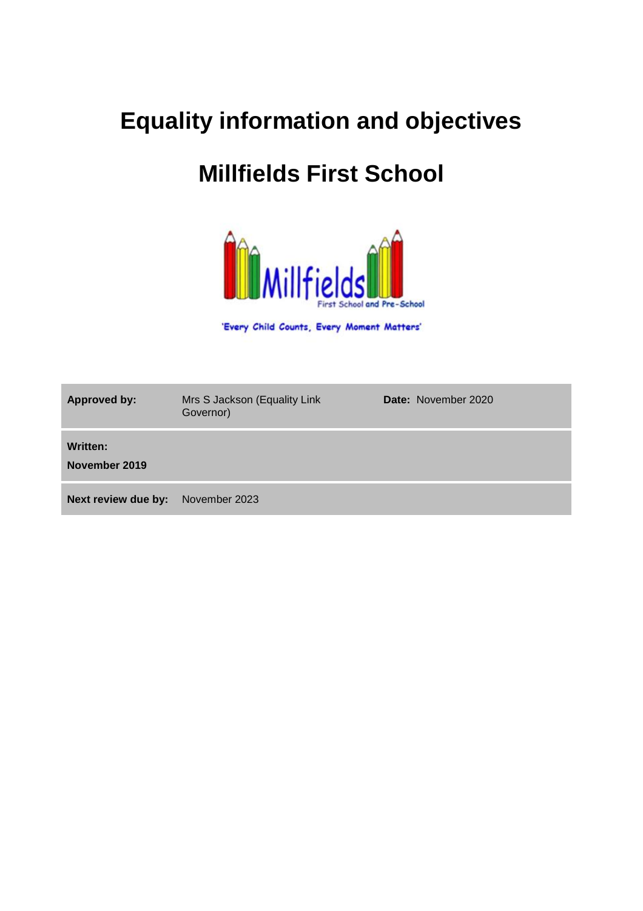# **Equality information and objectives**

# **Millfields First School**



'Every Child Counts, Every Moment Matters'

| <b>Approved by:</b>       | Mrs S Jackson (Equality Link<br>Governor) | <b>Date: November 2020</b> |
|---------------------------|-------------------------------------------|----------------------------|
| Written:<br>November 2019 |                                           |                            |
| Next review due by:       | November 2023                             |                            |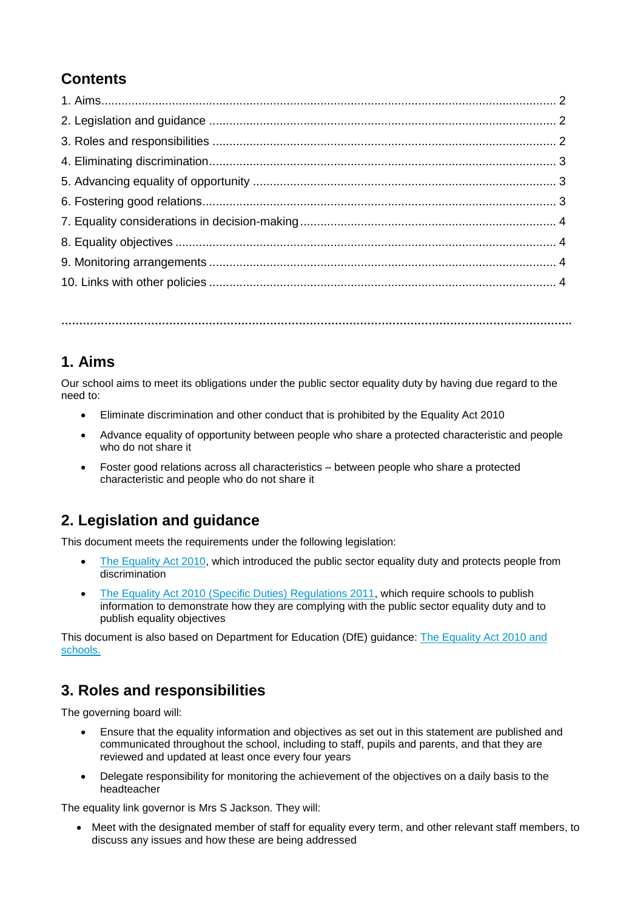# **Contents**

**…………………………………………………………………………………………………………………………….**

#### **1. Aims**

Our school aims to meet its obligations under the public sector equality duty by having due regard to the need to:

- Eliminate discrimination and other conduct that is prohibited by the Equality Act 2010
- Advance equality of opportunity between people who share a protected characteristic and people who do not share it
- Foster good relations across all characteristics between people who share a protected characteristic and people who do not share it

# **2. Legislation and guidance**

This document meets the requirements under the following legislation:

- [The Equality Act 2010,](http://www.legislation.gov.uk/ukpga/2010/15/contents) which introduced the public sector equality duty and protects people from discrimination
- [The Equality Act 2010 \(Specific Duties\) Regulations 2011,](http://www.legislation.gov.uk/uksi/2011/2260/contents/made) which require schools to publish information to demonstrate how they are complying with the public sector equality duty and to publish equality objectives

This document is also based on Department for Education (DfE) guidance: [The Equality Act 2010 and](https://www.gov.uk/government/uploads/system/uploads/attachment_data/file/315587/Equality_Act_Advice_Final.pdf)  [schools.](https://www.gov.uk/government/uploads/system/uploads/attachment_data/file/315587/Equality_Act_Advice_Final.pdf) 

# **3. Roles and responsibilities**

The governing board will:

- Ensure that the equality information and objectives as set out in this statement are published and communicated throughout the school, including to staff, pupils and parents, and that they are reviewed and updated at least once every four years
- Delegate responsibility for monitoring the achievement of the objectives on a daily basis to the headteacher

The equality link governor is Mrs S Jackson. They will:

 Meet with the designated member of staff for equality every term, and other relevant staff members, to discuss any issues and how these are being addressed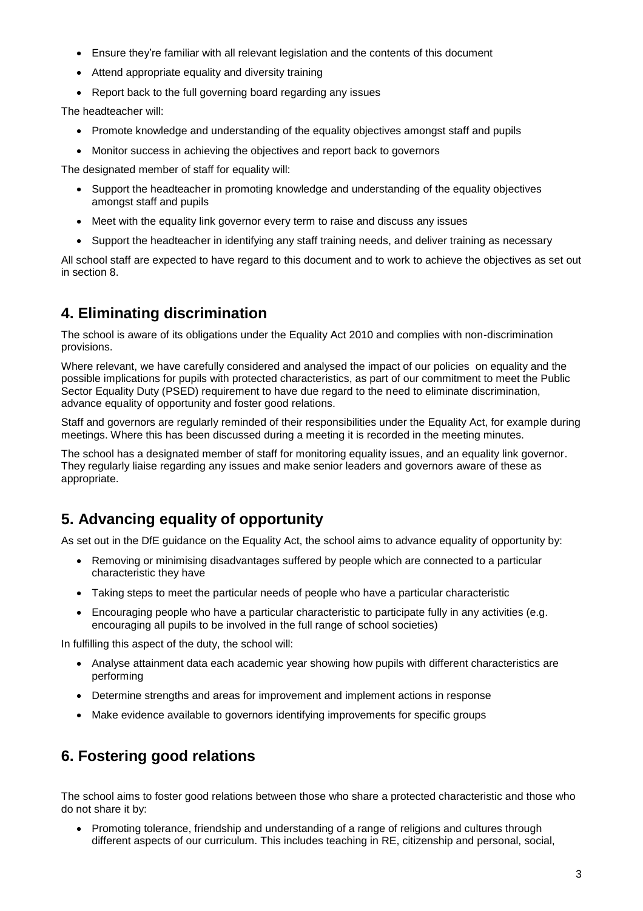- Ensure they're familiar with all relevant legislation and the contents of this document
- Attend appropriate equality and diversity training
- Report back to the full governing board regarding any issues

The headteacher will:

- Promote knowledge and understanding of the equality objectives amongst staff and pupils
- Monitor success in achieving the objectives and report back to governors

The designated member of staff for equality will:

- Support the headteacher in promoting knowledge and understanding of the equality objectives amongst staff and pupils
- Meet with the equality link governor every term to raise and discuss any issues
- Support the headteacher in identifying any staff training needs, and deliver training as necessary

All school staff are expected to have regard to this document and to work to achieve the objectives as set out in section 8.

# **4. Eliminating discrimination**

The school is aware of its obligations under the Equality Act 2010 and complies with non-discrimination provisions.

Where relevant, we have carefully considered and analysed the impact of our policies on equality and the possible implications for pupils with protected characteristics, as part of our commitment to meet the Public Sector Equality Duty (PSED) requirement to have due regard to the need to eliminate discrimination, advance equality of opportunity and foster good relations.

Staff and governors are regularly reminded of their responsibilities under the Equality Act, for example during meetings. Where this has been discussed during a meeting it is recorded in the meeting minutes.

The school has a designated member of staff for monitoring equality issues, and an equality link governor. They regularly liaise regarding any issues and make senior leaders and governors aware of these as appropriate.

# **5. Advancing equality of opportunity**

As set out in the DfE guidance on the Equality Act, the school aims to advance equality of opportunity by:

- Removing or minimising disadvantages suffered by people which are connected to a particular characteristic they have
- Taking steps to meet the particular needs of people who have a particular characteristic
- Encouraging people who have a particular characteristic to participate fully in any activities (e.g. encouraging all pupils to be involved in the full range of school societies)

In fulfilling this aspect of the duty, the school will:

- Analyse attainment data each academic year showing how pupils with different characteristics are performing
- Determine strengths and areas for improvement and implement actions in response
- Make evidence available to governors identifying improvements for specific groups

# **6. Fostering good relations**

The school aims to foster good relations between those who share a protected characteristic and those who do not share it by:

 Promoting tolerance, friendship and understanding of a range of religions and cultures through different aspects of our curriculum. This includes teaching in RE, citizenship and personal, social,